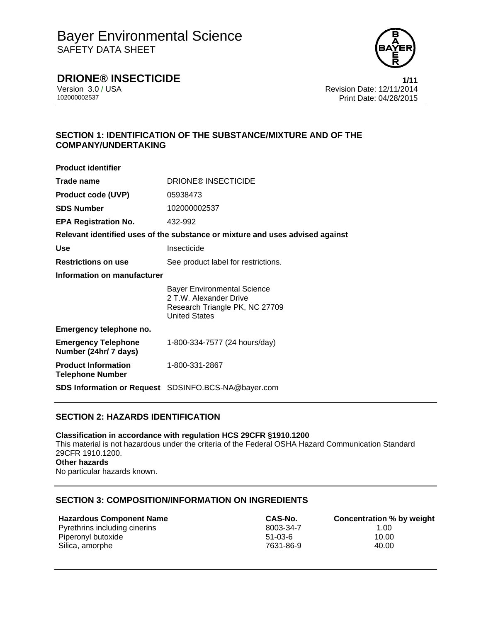

## **DRIONE® INSECTICIDE 1/11**

Version 3.0 / USA **Version 3.0 / USA** Revision Date: 12/11/2014<br>10200002537 Print Date: 04/28/2015 Print Date: 04/28/2015

## **SECTION 1: IDENTIFICATION OF THE SUBSTANCE/MIXTURE AND OF THE COMPANY/UNDERTAKING**

| <b>Product identifier</b>                             |                                                                                                                        |  |  |
|-------------------------------------------------------|------------------------------------------------------------------------------------------------------------------------|--|--|
| Trade name                                            | <b>DRIONE® INSECTICIDE</b>                                                                                             |  |  |
| <b>Product code (UVP)</b>                             | 05938473                                                                                                               |  |  |
| <b>SDS Number</b>                                     | 102000002537                                                                                                           |  |  |
| <b>EPA Registration No.</b>                           | 432-992                                                                                                                |  |  |
|                                                       | Relevant identified uses of the substance or mixture and uses advised against                                          |  |  |
| <b>Use</b>                                            | Insecticide                                                                                                            |  |  |
| <b>Restrictions on use</b>                            | See product label for restrictions.                                                                                    |  |  |
| Information on manufacturer                           |                                                                                                                        |  |  |
|                                                       | <b>Bayer Environmental Science</b><br>2 T.W. Alexander Drive<br>Research Triangle PK, NC 27709<br><b>United States</b> |  |  |
| Emergency telephone no.                               |                                                                                                                        |  |  |
| <b>Emergency Telephone</b><br>Number (24hr/ 7 days)   | 1-800-334-7577 (24 hours/day)                                                                                          |  |  |
| <b>Product Information</b><br><b>Telephone Number</b> | 1-800-331-2867                                                                                                         |  |  |
|                                                       | <b>SDS Information or Request</b> SDSINFO.BCS-NA@bayer.com                                                             |  |  |

## **SECTION 2: HAZARDS IDENTIFICATION**

**Classification in accordance with regulation HCS 29CFR §1910.1200**  This material is not hazardous under the criteria of the Federal OSHA Hazard Communication Standard 29CFR 1910.1200. **Other hazards**  No particular hazards known.

#### **SECTION 3: COMPOSITION/INFORMATION ON INGREDIENTS**

#### **Hazardous Component Name CAS-No. Concentration % by weight** Pyrethrins including cinerins and the control of the control of the 8003-34-7 (1.00 minutes) and the Piperonyl butoxide and the control of the control of the control of the control of the control of the control of the cont Piperonyl butoxide 61-03-6 Silica, amorphe 40.00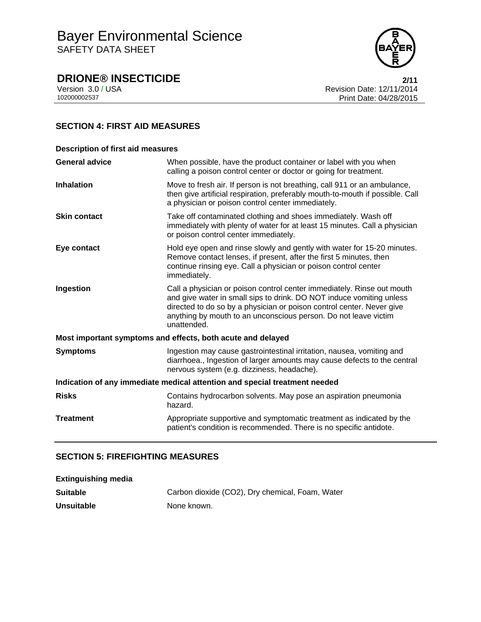

# **DRIONE® INSECTICIDE**<br>Version 3.0 / USA **2/11**<br>Revision Date: 12/11/2014

Version 3.0 / USA **Revision Date: 12/11/2014**<br>102000002537 Print Date: 04/28/2015 Print Date: 04/28/2015

## **SECTION 4: FIRST AID MEASURES**

| <b>Description of first aid measures</b>                                   |                                                                                                                                                                                                                                                                                                           |  |  |
|----------------------------------------------------------------------------|-----------------------------------------------------------------------------------------------------------------------------------------------------------------------------------------------------------------------------------------------------------------------------------------------------------|--|--|
| <b>General advice</b>                                                      | When possible, have the product container or label with you when<br>calling a poison control center or doctor or going for treatment.                                                                                                                                                                     |  |  |
| <b>Inhalation</b>                                                          | Move to fresh air. If person is not breathing, call 911 or an ambulance,<br>then give artificial respiration, preferably mouth-to-mouth if possible. Call<br>a physician or poison control center immediately.                                                                                            |  |  |
| <b>Skin contact</b>                                                        | Take off contaminated clothing and shoes immediately. Wash off<br>immediately with plenty of water for at least 15 minutes. Call a physician<br>or poison control center immediately.                                                                                                                     |  |  |
| Eye contact                                                                | Hold eye open and rinse slowly and gently with water for 15-20 minutes.<br>Remove contact lenses, if present, after the first 5 minutes, then<br>continue rinsing eye. Call a physician or poison control center<br>immediately.                                                                          |  |  |
| Ingestion                                                                  | Call a physician or poison control center immediately. Rinse out mouth<br>and give water in small sips to drink. DO NOT induce vomiting unless<br>directed to do so by a physician or poison control center. Never give<br>anything by mouth to an unconscious person. Do not leave victim<br>unattended. |  |  |
|                                                                            | Most important symptoms and effects, both acute and delayed                                                                                                                                                                                                                                               |  |  |
| <b>Symptoms</b>                                                            | Ingestion may cause gastrointestinal irritation, nausea, vomiting and<br>diarrhoea., Ingestion of larger amounts may cause defects to the central<br>nervous system (e.g. dizziness, headache).                                                                                                           |  |  |
| Indication of any immediate medical attention and special treatment needed |                                                                                                                                                                                                                                                                                                           |  |  |
| <b>Risks</b>                                                               | Contains hydrocarbon solvents. May pose an aspiration pneumonia<br>hazard.                                                                                                                                                                                                                                |  |  |
| <b>Treatment</b>                                                           | Appropriate supportive and symptomatic treatment as indicated by the<br>patient's condition is recommended. There is no specific antidote.                                                                                                                                                                |  |  |

## **SECTION 5: FIREFIGHTING MEASURES**

| <b>Extinguishing media</b> |                                                 |
|----------------------------|-------------------------------------------------|
| <b>Suitable</b>            | Carbon dioxide (CO2), Dry chemical, Foam, Water |
| <b>Unsuitable</b>          | None known.                                     |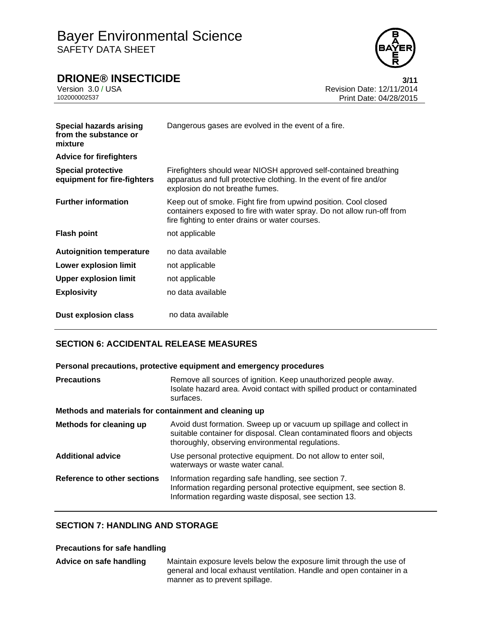

**DRIONE® INSECTICIDE**<br>Version 3.0 / USA **12/11/2014** 

Version 3.0 / USA Revision Date: 12/11/2014<br>10200002537 Print Date: 04/28/2015 Print Date: 04/28/2015

| Special hazards arising<br>from the substance or<br>mixture<br><b>Advice for firefighters</b> | Dangerous gases are evolved in the event of a fire.                                                                                                                                          |
|-----------------------------------------------------------------------------------------------|----------------------------------------------------------------------------------------------------------------------------------------------------------------------------------------------|
|                                                                                               |                                                                                                                                                                                              |
| <b>Special protective</b><br>equipment for fire-fighters                                      | Firefighters should wear NIOSH approved self-contained breathing<br>apparatus and full protective clothing. In the event of fire and/or<br>explosion do not breathe fumes.                   |
| <b>Further information</b>                                                                    | Keep out of smoke. Fight fire from upwind position. Cool closed<br>containers exposed to fire with water spray. Do not allow run-off from<br>fire fighting to enter drains or water courses. |
| <b>Flash point</b>                                                                            | not applicable                                                                                                                                                                               |
| <b>Autoignition temperature</b>                                                               | no data available                                                                                                                                                                            |
| <b>Lower explosion limit</b>                                                                  | not applicable                                                                                                                                                                               |
| <b>Upper explosion limit</b>                                                                  | not applicable                                                                                                                                                                               |
| <b>Explosivity</b>                                                                            | no data available                                                                                                                                                                            |
| Dust explosion class                                                                          | no data available                                                                                                                                                                            |

## **SECTION 6: ACCIDENTAL RELEASE MEASURES**

#### **Personal precautions, protective equipment and emergency procedures**

| <b>Precautions</b>                                    | Remove all sources of ignition. Keep unauthorized people away.<br>Isolate hazard area. Avoid contact with spilled product or contaminated<br>surfaces.                                            |  |  |  |
|-------------------------------------------------------|---------------------------------------------------------------------------------------------------------------------------------------------------------------------------------------------------|--|--|--|
| Methods and materials for containment and cleaning up |                                                                                                                                                                                                   |  |  |  |
| Methods for cleaning up                               | Avoid dust formation. Sweep up or vacuum up spillage and collect in<br>suitable container for disposal. Clean contaminated floors and objects<br>thoroughly, observing environmental regulations. |  |  |  |
| <b>Additional advice</b>                              | Use personal protective equipment. Do not allow to enter soil,<br>waterways or waste water canal.                                                                                                 |  |  |  |
| Reference to other sections                           | Information regarding safe handling, see section 7.<br>Information regarding personal protective equipment, see section 8.<br>Information regarding waste disposal, see section 13.               |  |  |  |

### **SECTION 7: HANDLING AND STORAGE**

#### **Precautions for safe handling**

| Advice on safe handling | Maintain exposure levels below the exposure limit through the use of  |
|-------------------------|-----------------------------------------------------------------------|
|                         | general and local exhaust ventilation. Handle and open container in a |
|                         | manner as to prevent spillage.                                        |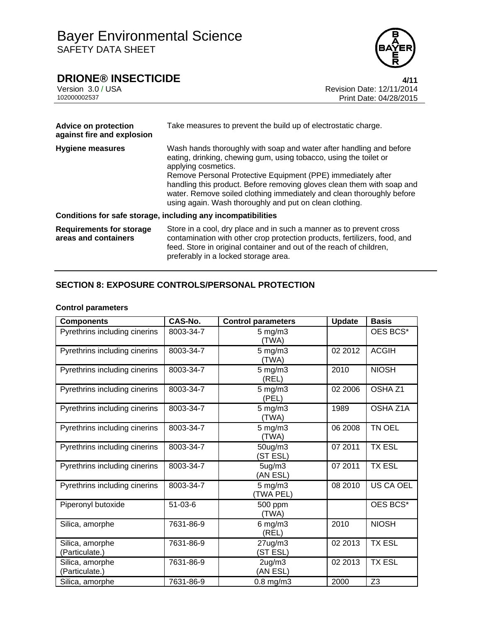

# **DRIONE® INSECTICIDE**<br>Version 3.0 / USA **4/11**<br>Revision Date: 12/11/2014

Version 3.0 / USA **Revision Date: 12/11/2014**<br>102000002537 Print Date: 04/28/2015 Print Date: 04/28/2015

| <b>Advice on protection</b><br>against fire and explosion | Take measures to prevent the build up of electrostatic charge.                                                                                                                                                                                                                                                                                                                                                                                |
|-----------------------------------------------------------|-----------------------------------------------------------------------------------------------------------------------------------------------------------------------------------------------------------------------------------------------------------------------------------------------------------------------------------------------------------------------------------------------------------------------------------------------|
| <b>Hygiene measures</b>                                   | Wash hands thoroughly with soap and water after handling and before<br>eating, drinking, chewing gum, using tobacco, using the toilet or<br>applying cosmetics.<br>Remove Personal Protective Equipment (PPE) immediately after<br>handling this product. Before removing gloves clean them with soap and<br>water. Remove soiled clothing immediately and clean thoroughly before<br>using again. Wash thoroughly and put on clean clothing. |
|                                                           | Conditions for safe storage, including any incompatibilities                                                                                                                                                                                                                                                                                                                                                                                  |
| <b>Requirements for storage</b><br>areas and containers   | Store in a cool, dry place and in such a manner as to prevent cross<br>contamination with other crop protection products, fertilizers, food, and<br>feed. Store in original container and out of the reach of children,<br>preferably in a locked storage area.                                                                                                                                                                               |

## **SECTION 8: EXPOSURE CONTROLS/PERSONAL PROTECTION**

#### **Control parameters**

| <b>Components</b>                 | <b>CAS-No.</b> | Control parameters              | <b>Update</b> | <b>Basis</b>       |
|-----------------------------------|----------------|---------------------------------|---------------|--------------------|
| Pyrethrins including cinerins     | 8003-34-7      | $5$ mg/m $3$<br>(TWA)           |               | OES BCS*           |
| Pyrethrins including cinerins     | 8003-34-7      | $5$ mg/m $3$<br>(TWA)           | 02 2012       | <b>ACGIH</b>       |
| Pyrethrins including cinerins     | 8003-34-7      | $5 \text{ mg/m}$ 3<br>(REL)     | 2010          | <b>NIOSH</b>       |
| Pyrethrins including cinerins     | 8003-34-7      | $5 \text{ mg/m}$ 3<br>(PEL)     | 02 2006       | OSHA <sub>Z1</sub> |
| Pyrethrins including cinerins     | 8003-34-7      | $5$ mg/m $3$<br>(TWA)           | 1989          | OSHA Z1A           |
| Pyrethrins including cinerins     | 8003-34-7      | $5 \text{ mg/m}$ 3<br>(TWA)     | 06 2008       | TN OEL             |
| Pyrethrins including cinerins     | 8003-34-7      | 50ug/m3<br>(ST ESL)             | 07 2011       | <b>TX ESL</b>      |
| Pyrethrins including cinerins     | 8003-34-7      | 5ug/m3<br>(AN ESL)              | 07 2011       | <b>TX ESL</b>      |
| Pyrethrins including cinerins     | 8003-34-7      | $5$ mg/m $3$<br>(TWA PEL)       | 08 2010       | US CA OEL          |
| Piperonyl butoxide                | $51 - 03 - 6$  | 500 ppm<br>(TWA)                |               | OES BCS*           |
| Silica, amorphe                   | 7631-86-9      | $6$ mg/m $3$<br>(REL)           | 2010          | <b>NIOSH</b>       |
| Silica, amorphe<br>(Particulate.) | 7631-86-9      | $27$ ug/m $3$<br>(ST ESL)       | 02 2013       | <b>TX ESL</b>      |
| Silica, amorphe<br>(Particulate.) | 7631-86-9      | 2 <sub>ug</sub> /m3<br>(AN ESL) | 02 2013       | <b>TX ESL</b>      |
| Silica, amorphe                   | 7631-86-9      | $0.8$ mg/m $3$                  | 2000          | Z <sub>3</sub>     |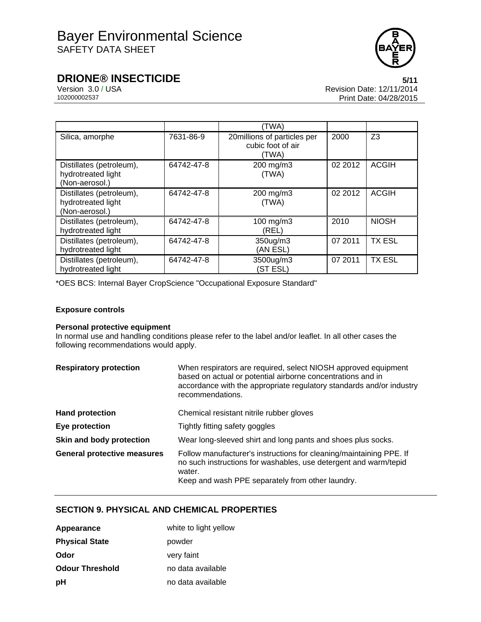

# **DRIONE® INSECTICIDE** 5/11<br>Version 3.0 / USA 6/11/2014

Version 3.0 / USA Revision Date: 12/11/2014<br>10200002537 Print Date: 04/28/2015 Print Date: 04/28/2015

|                                                                  |            | (TWA)                                                     |         |               |
|------------------------------------------------------------------|------------|-----------------------------------------------------------|---------|---------------|
| Silica, amorphe                                                  | 7631-86-9  | 20millions of particles per<br>cubic foot of air<br>(TWA) | 2000    | Z3            |
| Distillates (petroleum),<br>hydrotreated light<br>(Non-aerosol.) | 64742-47-8 | 200 mg/m3<br>(TWA)                                        | 02 2012 | <b>ACGIH</b>  |
| Distillates (petroleum),<br>hydrotreated light<br>(Non-aerosol.) | 64742-47-8 | 200 mg/m3<br>(TWA)                                        | 02 2012 | <b>ACGIH</b>  |
| Distillates (petroleum),<br>hydrotreated light                   | 64742-47-8 | 100 mg/m3<br>(REL)                                        | 2010    | <b>NIOSH</b>  |
| Distillates (petroleum),<br>hydrotreated light                   | 64742-47-8 | 350ug/m3<br>(AN ESL)                                      | 07 2011 | <b>TX ESL</b> |
| Distillates (petroleum),<br>hydrotreated light                   | 64742-47-8 | 3500ug/m3<br>(ST ESL)                                     | 07 2011 | <b>TX ESL</b> |

\*OES BCS: Internal Bayer CropScience "Occupational Exposure Standard"

#### **Exposure controls**

#### **Personal protective equipment**

In normal use and handling conditions please refer to the label and/or leaflet. In all other cases the following recommendations would apply.

| <b>Respiratory protection</b>      | When respirators are required, select NIOSH approved equipment<br>based on actual or potential airborne concentrations and in<br>accordance with the appropriate regulatory standards and/or industry<br>recommendations. |  |  |
|------------------------------------|---------------------------------------------------------------------------------------------------------------------------------------------------------------------------------------------------------------------------|--|--|
| <b>Hand protection</b>             | Chemical resistant nitrile rubber gloves                                                                                                                                                                                  |  |  |
| Eye protection                     | Tightly fitting safety goggles                                                                                                                                                                                            |  |  |
| Skin and body protection           | Wear long-sleeved shirt and long pants and shoes plus socks.                                                                                                                                                              |  |  |
| <b>General protective measures</b> | Follow manufacturer's instructions for cleaning/maintaining PPE. If<br>no such instructions for washables, use detergent and warm/tepid<br>water.<br>Keep and wash PPE separately from other laundry.                     |  |  |

## **SECTION 9. PHYSICAL AND CHEMICAL PROPERTIES**

| Appearance             | white to light yellow |
|------------------------|-----------------------|
| <b>Physical State</b>  | powder                |
| Odor                   | very faint            |
| <b>Odour Threshold</b> | no data available     |
| рH                     | no data available     |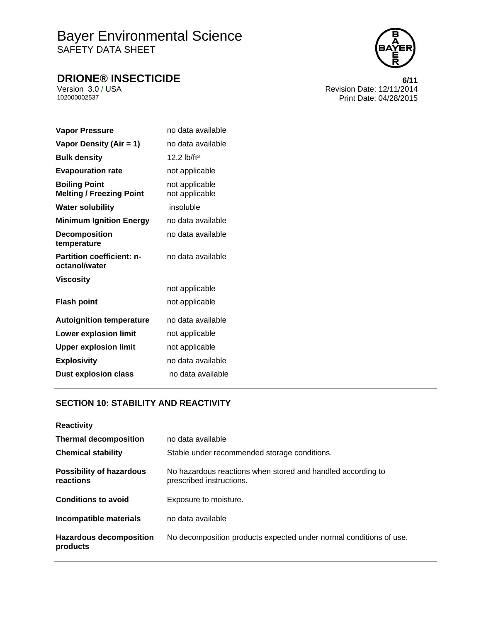# Bayer Environmental Science SAFETY DATA SHEET

# **DRIONE® INSECTICIDE**<br>Version 3.0 / USA **6/11**<br>Revision Date: 12/11/2014



Version 3.0 / USA **Revision Date: 12/11/2014**<br>102000002537 Print Date: 04/28/2015 Print Date: 04/28/2015

| <b>Vapor Pressure</b>                                   | no data available                |
|---------------------------------------------------------|----------------------------------|
| Vapor Density (Air = 1)                                 | no data available                |
| <b>Bulk density</b>                                     | $12.2$ lb/ft <sup>3</sup>        |
| <b>Evapouration rate</b>                                | not applicable                   |
| <b>Boiling Point</b><br><b>Melting / Freezing Point</b> | not applicable<br>not applicable |
| <b>Water solubility</b>                                 | insoluble                        |
| <b>Minimum Ignition Energy</b>                          | no data available                |
| <b>Decomposition</b><br>temperature                     | no data available                |
| <b>Partition coefficient: n-</b><br>octanol/water       | no data available                |
| <b>Viscosity</b>                                        |                                  |
|                                                         | not applicable                   |
| <b>Flash point</b>                                      | not applicable                   |
| <b>Autoignition temperature</b>                         | no data available                |
| <b>Lower explosion limit</b>                            | not applicable                   |
| <b>Upper explosion limit</b>                            | not applicable                   |
| <b>Explosivity</b>                                      | no data available                |
| <b>Dust explosion class</b>                             | no data available                |

## **SECTION 10: STABILITY AND REACTIVITY**

| <b>Reactivity</b>                            |                                                                                         |
|----------------------------------------------|-----------------------------------------------------------------------------------------|
| <b>Thermal decomposition</b>                 | no data available                                                                       |
| <b>Chemical stability</b>                    | Stable under recommended storage conditions.                                            |
| <b>Possibility of hazardous</b><br>reactions | No hazardous reactions when stored and handled according to<br>prescribed instructions. |
| <b>Conditions to avoid</b>                   | Exposure to moisture.                                                                   |
| Incompatible materials                       | no data available                                                                       |
| <b>Hazardous decomposition</b><br>products   | No decomposition products expected under normal conditions of use.                      |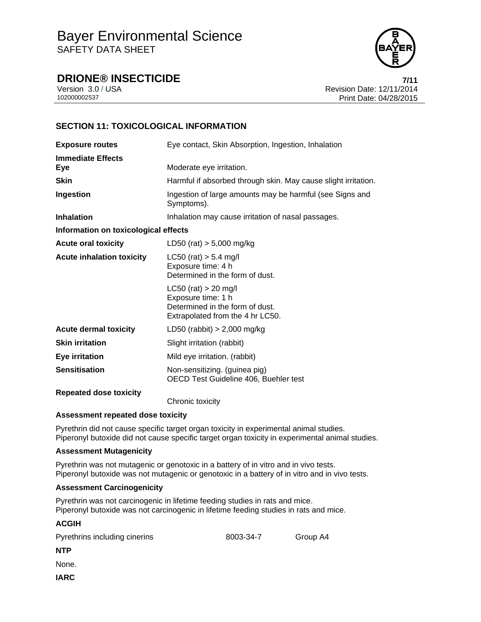

**DRIONE® INSECTICIDE 7/11**

Version 3.0 / USA Revision Date: 12/11/2014 Print Date: 04/28/2015

## **SECTION 11: TOXICOLOGICAL INFORMATION**

| <b>Exposure routes</b>               | Eye contact, Skin Absorption, Ingestion, Inhalation                                                                 |  |  |
|--------------------------------------|---------------------------------------------------------------------------------------------------------------------|--|--|
| <b>Immediate Effects</b><br>Eye      | Moderate eye irritation.                                                                                            |  |  |
| <b>Skin</b>                          | Harmful if absorbed through skin. May cause slight irritation.                                                      |  |  |
| Ingestion                            | Ingestion of large amounts may be harmful (see Signs and<br>Symptoms).                                              |  |  |
| <b>Inhalation</b>                    | Inhalation may cause irritation of nasal passages.                                                                  |  |  |
| Information on toxicological effects |                                                                                                                     |  |  |
| <b>Acute oral toxicity</b>           | LD50 (rat) $> 5,000$ mg/kg                                                                                          |  |  |
| <b>Acute inhalation toxicity</b>     | $LC50$ (rat) $> 5.4$ mg/l<br>Exposure time: 4 h<br>Determined in the form of dust.                                  |  |  |
|                                      | $LC50$ (rat) > 20 mg/l<br>Exposure time: 1 h<br>Determined in the form of dust.<br>Extrapolated from the 4 hr LC50. |  |  |
| <b>Acute dermal toxicity</b>         | LD50 (rabbit) $> 2,000$ mg/kg                                                                                       |  |  |
| <b>Skin irritation</b>               | Slight irritation (rabbit)                                                                                          |  |  |
| <b>Eye irritation</b>                | Mild eye irritation. (rabbit)                                                                                       |  |  |
| <b>Sensitisation</b>                 | Non-sensitizing. (guinea pig)<br>OECD Test Guideline 406, Buehler test                                              |  |  |
| <b>Repeated dose toxicity</b>        | Chronic toxicity                                                                                                    |  |  |

#### **Assessment repeated dose toxicity**

Pyrethrin did not cause specific target organ toxicity in experimental animal studies. Piperonyl butoxide did not cause specific target organ toxicity in experimental animal studies.

#### **Assessment Mutagenicity**

Pyrethrin was not mutagenic or genotoxic in a battery of in vitro and in vivo tests. Piperonyl butoxide was not mutagenic or genotoxic in a battery of in vitro and in vivo tests.

#### **Assessment Carcinogenicity**

Pyrethrin was not carcinogenic in lifetime feeding studies in rats and mice. Piperonyl butoxide was not carcinogenic in lifetime feeding studies in rats and mice.

#### **ACGIH**

| Pyrethrins including cinerins | 8003-34-7 | Group A4 |
|-------------------------------|-----------|----------|
| NTP                           |           |          |
| None.                         |           |          |
| IARC                          |           |          |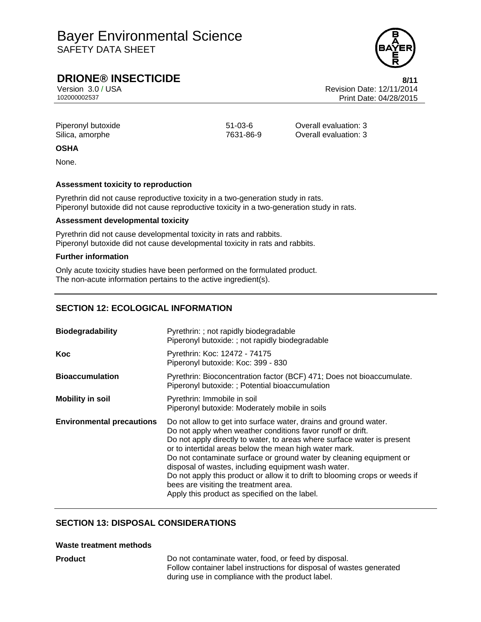## Bayer Environmental Science SAFETY DATA SHEET

## **DRIONE® INSECTICIDE** 8/11

Version 3.0 / USA Revision Date: 12/11/2014<br>102000002537<br>Print Date: 04/28/2015 Print Date: 04/28/2015

| Piperonyl butoxide |
|--------------------|
| Silica, amorphe    |

51-03-6 **Overall evaluation: 3** 7631-86-9 **Overall evaluation: 3** 

#### **OSHA**

None.

#### **Assessment toxicity to reproduction**

Pyrethrin did not cause reproductive toxicity in a two-generation study in rats. Piperonyl butoxide did not cause reproductive toxicity in a two-generation study in rats.

#### **Assessment developmental toxicity**

Pyrethrin did not cause developmental toxicity in rats and rabbits. Piperonyl butoxide did not cause developmental toxicity in rats and rabbits.

#### **Further information**

Only acute toxicity studies have been performed on the formulated product. The non-acute information pertains to the active ingredient(s).

## **SECTION 12: ECOLOGICAL INFORMATION**

| <b>Biodegradability</b>          | Pyrethrin: ; not rapidly biodegradable<br>Piperonyl butoxide: ; not rapidly biodegradable                                                                                                                                                                                                                                                                                                                                                                                                                                                                                    |
|----------------------------------|------------------------------------------------------------------------------------------------------------------------------------------------------------------------------------------------------------------------------------------------------------------------------------------------------------------------------------------------------------------------------------------------------------------------------------------------------------------------------------------------------------------------------------------------------------------------------|
| Koc                              | Pyrethrin: Koc: 12472 - 74175<br>Piperonyl butoxide: Koc: 399 - 830                                                                                                                                                                                                                                                                                                                                                                                                                                                                                                          |
| <b>Bioaccumulation</b>           | Pyrethrin: Bioconcentration factor (BCF) 471; Does not bioaccumulate.<br>Piperonyl butoxide: ; Potential bioaccumulation                                                                                                                                                                                                                                                                                                                                                                                                                                                     |
| <b>Mobility in soil</b>          | Pyrethrin: Immobile in soil<br>Piperonyl butoxide: Moderately mobile in soils                                                                                                                                                                                                                                                                                                                                                                                                                                                                                                |
| <b>Environmental precautions</b> | Do not allow to get into surface water, drains and ground water.<br>Do not apply when weather conditions favor runoff or drift.<br>Do not apply directly to water, to areas where surface water is present<br>or to intertidal areas below the mean high water mark.<br>Do not contaminate surface or ground water by cleaning equipment or<br>disposal of wastes, including equipment wash water.<br>Do not apply this product or allow it to drift to blooming crops or weeds if<br>bees are visiting the treatment area.<br>Apply this product as specified on the label. |

## **SECTION 13: DISPOSAL CONSIDERATIONS**

#### **Waste treatment methods**

**Product** Do not contaminate water, food, or feed by disposal. Follow container label instructions for disposal of wastes generated during use in compliance with the product label.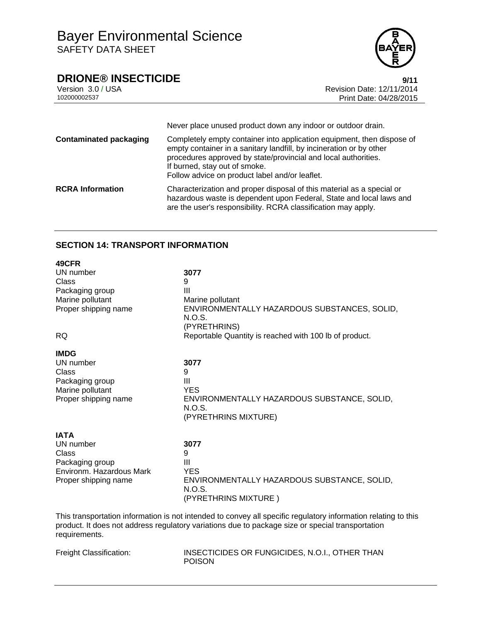

# **DRIONE® INSECTICIDE**<br>Version 3.0 / USA **Properties Access 2011**<br>Revision Date: 12/11/2014

Version 3.0 / USA Revision Date: 12/11/2014<br>10200002537 Print Date: 04/28/2015 Print Date: 04/28/2015

|                               | Never place unused product down any indoor or outdoor drain.                                                                                                                                                                                                                                       |
|-------------------------------|----------------------------------------------------------------------------------------------------------------------------------------------------------------------------------------------------------------------------------------------------------------------------------------------------|
| <b>Contaminated packaging</b> | Completely empty container into application equipment, then dispose of<br>empty container in a sanitary landfill, by incineration or by other<br>procedures approved by state/provincial and local authorities.<br>If burned, stay out of smoke.<br>Follow advice on product label and/or leaflet. |
| <b>RCRA Information</b>       | Characterization and proper disposal of this material as a special or<br>hazardous waste is dependent upon Federal, State and local laws and<br>are the user's responsibility. RCRA classification may apply.                                                                                      |

### **SECTION 14: TRANSPORT INFORMATION**

| 49CFR<br>UN number<br>Class<br>Packaging group<br>Marine pollutant<br>Proper shipping name<br><b>RQ</b>  | 3077<br>9<br>Ш<br>Marine pollutant<br>ENVIRONMENTALLY HAZARDOUS SUBSTANCES, SOLID,<br>N.O.S.<br>(PYRETHRINS)<br>Reportable Quantity is reached with 100 lb of product. |
|----------------------------------------------------------------------------------------------------------|------------------------------------------------------------------------------------------------------------------------------------------------------------------------|
| <b>IMDG</b><br>UN number<br>Class<br>Packaging group<br>Marine pollutant<br>Proper shipping name         | 3077<br>9<br>Ш<br><b>YES</b><br>ENVIRONMENTALLY HAZARDOUS SUBSTANCE, SOLID,<br>N.O.S.<br>(PYRETHRINS MIXTURE)                                                          |
| <b>IATA</b><br>UN number<br>Class<br>Packaging group<br>Environm. Hazardous Mark<br>Proper shipping name | 3077<br>9<br>Ш<br><b>YES</b><br>ENVIRONMENTALLY HAZARDOUS SUBSTANCE, SOLID,<br>N.O.S.<br>(PYRETHRINS MIXTURE)                                                          |

This transportation information is not intended to convey all specific regulatory information relating to this product. It does not address regulatory variations due to package size or special transportation requirements.

| Freight Classification: |
|-------------------------|
|-------------------------|

INSECTICIDES OR FUNGICIDES, N.O.I., OTHER THAN POISON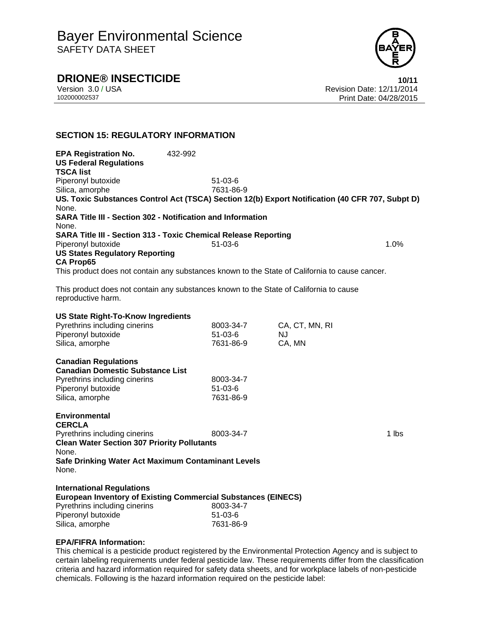

## **DRIONE® INSECTICIDE 10/11**

Version 3.0 / USA Revision Date: 12/11/2014 102000002537 Print Date: 04/28/2015

## **SECTION 15: REGULATORY INFORMATION**

**EPA Registration No.** 432-992 **US Federal Regulations TSCA list** Piperonyl butoxide 51-03-6 Silica, amorphe 7631-86-9 **US. Toxic Substances Control Act (TSCA) Section 12(b) Export Notification (40 CFR 707, Subpt D)** None. **SARA Title III - Section 302 - Notification and Information** None. **SARA Title III - Section 313 - Toxic Chemical Release Reporting** Piperonyl butoxide 51-03-6 1.0% **US States Regulatory Reporting CA Prop65** This product does not contain any substances known to the State of California to cause cancer.

This product does not contain any substances known to the State of California to cause reproductive harm.

| <b>US State Right-To-Know Ingredients</b><br>Pyrethrins including cinerins<br>Piperonyl butoxide<br>Silica, amorphe                                                                                  | 8003-34-7<br>$51 - 03 - 6$<br>7631-86-9 | CA, CT, MN, RI<br>NJ.<br>CA, MN |       |
|------------------------------------------------------------------------------------------------------------------------------------------------------------------------------------------------------|-----------------------------------------|---------------------------------|-------|
| <b>Canadian Regulations</b><br><b>Canadian Domestic Substance List</b><br>Pyrethrins including cinerins<br>Piperonyl butoxide<br>Silica, amorphe                                                     | 8003-34-7<br>$51-03-6$<br>7631-86-9     |                                 |       |
| <b>Environmental</b><br><b>CERCLA</b><br>Pyrethrins including cinerins<br><b>Clean Water Section 307 Priority Pollutants</b><br>None.<br>Safe Drinking Water Act Maximum Contaminant Levels<br>None. | 8003-34-7                               |                                 | 1 lbs |
| <b>International Regulations</b><br><b>European Inventory of Existing Commercial Substances (EINECS)</b><br>Pyrethrins including cinerins<br>Piperonyl butoxide                                      | 8003-34-7<br>51-03-6                    |                                 |       |

#### **EPA/FIFRA Information:**

Silica, amorphe 7631-86-9

This chemical is a pesticide product registered by the Environmental Protection Agency and is subject to certain labeling requirements under federal pesticide law. These requirements differ from the classification criteria and hazard information required for safety data sheets, and for workplace labels of non-pesticide chemicals. Following is the hazard information required on the pesticide label: